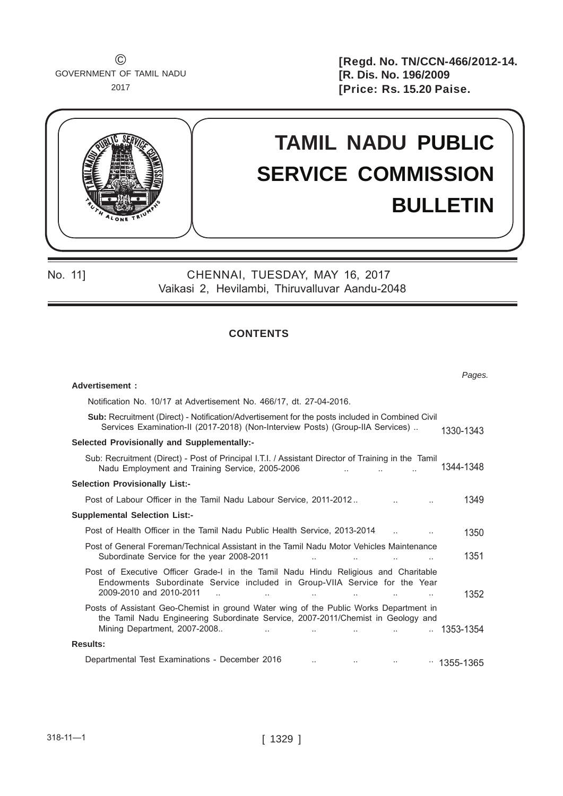$\odot$ GOVERNMENT OF TAMIL NADU 2017

**[Regd. No. TN/CCN-466/2012-14. [R. Dis. No. 196/2009 [Price: Rs. 15.20 Paise.** 



No. 11] CHENNAI, TUESDAY, MAY 16, 2017 Vaikasi 2, Hevilambi, Thiruvalluvar Aandu-2048

# **contents**

|                                                                                                                                                                                                                                                      | Pages.                 |  |  |  |  |  |  |
|------------------------------------------------------------------------------------------------------------------------------------------------------------------------------------------------------------------------------------------------------|------------------------|--|--|--|--|--|--|
| Advertisement:                                                                                                                                                                                                                                       |                        |  |  |  |  |  |  |
| Notification No. 10/17 at Advertisement No. 466/17, dt. 27-04-2016.                                                                                                                                                                                  |                        |  |  |  |  |  |  |
| <b>Sub:</b> Recruitment (Direct) - Notification/Advertisement for the posts included in Combined Civil<br>Services Examination-II (2017-2018) (Non-Interview Posts) (Group-IIA Services)                                                             |                        |  |  |  |  |  |  |
| Selected Provisionally and Supplementally:-                                                                                                                                                                                                          |                        |  |  |  |  |  |  |
| Sub: Recruitment (Direct) - Post of Principal I.T.I. / Assistant Director of Training in the Tamil<br>Nadu Employment and Training Service, 2005-2006                                                                                                | 1344-1348              |  |  |  |  |  |  |
| <b>Selection Provisionally List:-</b>                                                                                                                                                                                                                |                        |  |  |  |  |  |  |
| Post of Labour Officer in the Tamil Nadu Labour Service, 2011-2012                                                                                                                                                                                   | 1349                   |  |  |  |  |  |  |
| <b>Supplemental Selection List:-</b>                                                                                                                                                                                                                 |                        |  |  |  |  |  |  |
| Post of Health Officer in the Tamil Nadu Public Health Service, 2013-2014                                                                                                                                                                            | 1350                   |  |  |  |  |  |  |
| Post of General Foreman/Technical Assistant in the Tamil Nadu Motor Vehicles Maintenance<br>Subordinate Service for the year 2008-2011<br>$\ddotsc$<br>$\ddotsc$                                                                                     | 1351                   |  |  |  |  |  |  |
| Post of Executive Officer Grade-I in the Tamil Nadu Hindu Religious and Charitable<br>Endowments Subordinate Service included in Group-VIIA Service for the Year<br>2009-2010 and 2010-2011<br>$\overline{\phantom{a}}$<br>$\ddotsc$<br>$\ddotsc$    | 1352                   |  |  |  |  |  |  |
| Posts of Assistant Geo-Chemist in ground Water wing of the Public Works Department in<br>the Tamil Nadu Engineering Subordinate Service, 2007-2011/Chemist in Geology and<br>Mining Department, 2007-2008<br>and the company<br>$\ddot{\phantom{a}}$ | $\ldots$ 1353-1354     |  |  |  |  |  |  |
| <b>Results:</b>                                                                                                                                                                                                                                      |                        |  |  |  |  |  |  |
| Departmental Test Examinations - December 2016<br>$\ddotsc$                                                                                                                                                                                          | $\cdot\cdot$ 1355-1365 |  |  |  |  |  |  |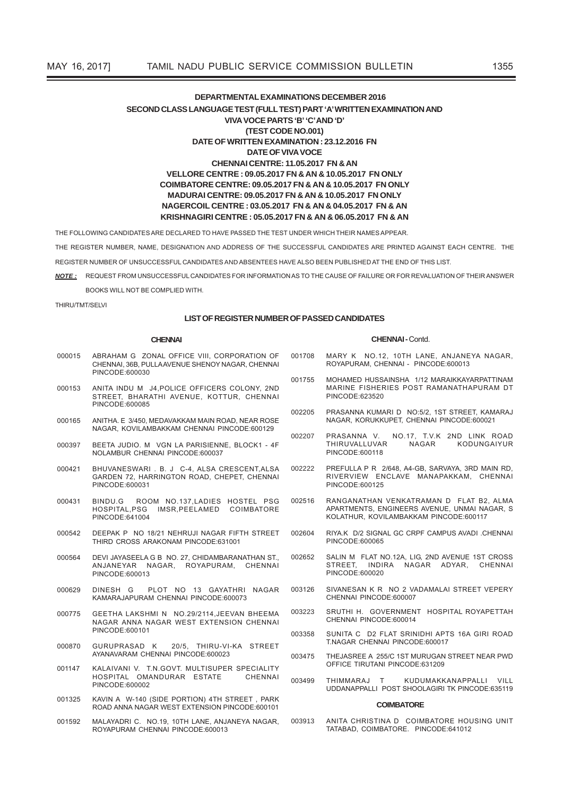# **DEPARTMENTAL EXAMINATIONS DECEMBER 2016** SECOND CLASS LANGUAGE TEST (FULL TEST) PART 'A' WRITTEN EXAMINATION AND VIVA VOCE PARTS 'B' 'C' AND 'D' (TEST CODE NO.001) DATE OF WRITTEN EXAMINATION: 23.12.2016 FN **DATE OF VIVA VOCE** CHENNALCENTRE-11 05 2017 EN & AN VELLORE CENTRE: 09.05.2017 FN & AN & 10.05.2017 FN ONLY COIMBATORE CENTRE: 09.05.2017 FN & AN & 10.05.2017 FN ONLY MADURAI CENTRE: 09.05.2017 FN & AN & 10.05.2017 FN ONLY NAGERCOIL CENTRE : 03.05.2017 FN & AN & 04.05.2017 FN & AN KRISHNAGIRI CENTRE : 05.05.2017 FN & AN & 06.05.2017 FN & AN

THE FOLLOWING CANDIDATES ARE DECLARED TO HAVE PASSED THE TEST UNDER WHICH THEIR NAMES APPEAR

THE REGISTER NUMBER, NAME, DESIGNATION AND ADDRESS OF THE SUCCESSEUL CANDIDATES ARE PRINTED AGAINST FACH CENTRE. THE

REGISTER NUMBER OF UNSUCCESSFUL CANDIDATES AND ABSENTEES HAVE ALSO BEEN PUBLISHED AT THE END OF THIS LIST.

NOTE: REQUEST FROM UNSUCCESSFUL CANDIDATES FOR INFORMATION AS TO THE CAUSE OF FAILURE OR FOR REVALUATION OF THEIR ANSWER

BOOKS WILL NOT BE COMPLIED WITH

THIRU/TMT/SELVI

### LIST OF REGISTER NUMBER OF PASSED CANDIDATES

#### **CHENNAI**

#### CHENNAL-Contd

TATABAD, COIMBATORE. PINCODE:641012

- ABRAHAM G ZONAL OFFICE VIII, CORPORATION OF 001708 MARY K NO 12 10TH LANF ANJANEYA NAGAR 000015 CHENNAI, 36B, PULLAAVENUE SHENOY NAGAR, CHENNAI ROYAPURAM, CHENNAI - PINCODE:600013 PINCODE:600030 MOHAMED HUSSAINSHA 1/12 MARAIKKAYARPATTINAM 001755 ANITA INDU M J4.POLICE OFFICERS COLONY. 2ND MARINE FISHERIES POST RAMANATHAPURAM DT 000153 STREET, BHARATHI AVENUE, KOTTUR, CHENNAI PINCODE:623520 PINCODE:600085 PRASANNA KUMARLD NO:5/2 1ST STREET KAMARAJ 002205 NAGAR, KORUKKUPET, CHENNAI PINCODE:600021 000165 ANITHA F 3/450 MEDAVAKKAM MAIN ROAD NEAR ROSE NAGAR KOVILAMBAKKAM CHENNAL PINCODE:600129 NO.17, T.V.K 2ND LINK ROAD 002207 PRASANNA V THIRUVALLUVAR KODUNGAIVUR **NAGAR** 000397 BEETA JUDIO. M VGN LA PARISIENNE. BLOCK1 - 4F NOI AMBUR CHENNAL PINCODE 600037 PINCODE:600118 000421 BHUVANESWARI. B. J C-4, ALSA CRESCENT, ALSA 002222 PREFULLA P R 2/648, A4-GB, SARVAYA, 3RD MAIN RD, RIVERVIEW ENCLAVE MANAPAKKAM, CHENNAI GARDEN 72, HARRINGTON ROAD, CHEPET, CHENNAI PINCODE:600031 PINCODE:600125 ROOM NO.137, LADIES HOSTEL PSG 002516 RANGANATHAN VENKATRAMAN D FLAT B2, ALMA 000431 BINDU.G APARTMENTS, ENGINEERS AVENUE, UNMAI NAGAR, S HOSPITAL, PSG IMSR, PEELAMED COIMBATORE PINCODE:641004 KOLATHUR, KOVILAMBAKKAM PINCODE:600117 DEEPAK P NO 18/21 NEHRUJI NAGAR FIFTH STREET 000542 002604 RIYA.K D/2 SIGNAL GC CRPF CAMPUS AVADI .CHENNAI THIRD CROSS ARAKONAM PINCODE:631001 PINCODE:600065 002652 SALIN M FLAT NO.12A, LIG, 2ND AVENUE 1ST CROSS 000564 DEVI JAYASEELA G B NO. 27. CHIDAMBARANATHAN ST. STREET. INDIRA NAGAR ADYAR, CHENNAI ANJANEYAR NAGAR, ROYAPURAM, CHENNAI PINCODE:600013 PINCODE:600020 PLOT NO 13 GAYATHRI NAGAR 003126 SIVANESAN K R NO 2 VADAMALAI STREET VEPERY 000629 DINESH G CHENNAL PINCODE 600007 KAMARAJAPURAM CHENNAI PINCODE:600073 003223 SRUTHI H. GOVERNMENT HOSPITAL ROYAPETTAH GEETHA LAKSHMI N NO.29/2114, JEEVAN BHEEMA 000775 NAGAR ANNA NAGAR WEST EXTENSION CHENNAI CHENNAI PINCODE:600014 PINCODE:600101 003358 SUNITA C D2 FLAT SRINIDHI APTS 16A GIRI ROAD T.NAGAR CHENNAI PINCODE:600017 20/5. THIRU-VI-KA STREET GURUPRASAD K 000870 AYANAVARAM CHENNAI PINCODE:600023 THE IASREE A 255/C 1ST MURUGAN STREET NEAR PWD 003475 OFFICE TIRLITANI PINCODE 631209 001147 KALAIVANI V. T.N.GOVT. MULTISUPER SPECIALITY HOSPITAL OMANDURAR ESTATE CHENNAL 003499 THIMMARAI  $\mathsf{T}$ KUDUMAKKANAPPALLI VILL PINCODE:600002 UDDANAPPALLI POST SHOOLAGIRI TK PINCODE:635119 KAVIN A W-140 (SIDE PORTION) 4TH STREET, PARK 001325 COIMRATORE ROAD ANNA NAGAR WEST EXTENSION PINCODE:600101 001592 MALAYADRI C. NO.19, 10TH LANE, ANJANEYA NAGAR, 003913 ANITA CHRISTINA D COIMBATORE HOUSING UNIT
- ROYAPURAM CHENNAI PINCODE:600013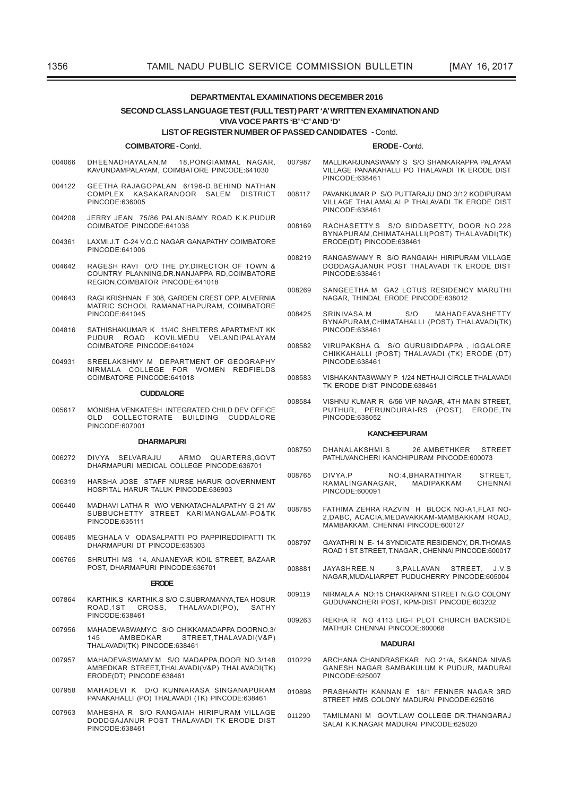# DEPARTMENTAL EXAMINATIONS DECEMBER 2016

### SECOND CLASS LANGUAGE TEST (FULL TEST) PART 'A' WRITTEN EXAMINATION AND **VIVA VOCE PARTS 'B' 'C' AND 'D'**

#### **LIST OF REGISTER NUMBER OF PASSED CANDIDATES - Contd.**

#### **COIMBATORE - Contd.**

- 004066 DHEENADHAYALAN.M 18, PONGIAMMAL NAGAR, KAVUNDAMPALAYAM, COIMBATORE PINCODE:641030
- 004122 GEETHA RAJAGOPALAN 6/196-D, BEHIND NATHAN COMPLEX KASAKARANOOR SALEM DISTRICT PINCODE:636005
- 004208 JERRY JEAN 75/86 PALANISAMY ROAD K.K.PUDUR COIMBATOE PINCODE 641038
- LAXMI.J.T C-24 V.O.C NAGAR GANAPATHY COIMBATORE 004361 PINCODE:641006
- RAGESH RAVI O/O THE DY.DIRECTOR OF TOWN & 004642 COUNTRY PLANNING DR. NANJAPPA RD. COIMBATORE REGION.COIMBATOR PINCODE:641018
- RAGI KRISHNAN F 308, GARDEN CREST OPP, ALVERNIA  $004643$ MATRIC SCHOOL RAMANATHAPURAM, COIMBATORE PINCODE:641045
- SATHISHAKUMAR K 11/4C SHELTERS APARTMENT KK 004816 PUDUR ROAD KOVILMEDU VELANDIPALAYAM COIMBATORE PINCODE:641024
- SREELAKSHMY M DEPARTMENT OF GEOGRAPHY 004931 NIRMALA COLLEGE FOR WOMEN REDEIELDS COIMBATORE PINCODE:641018

#### CUDDALORE

MONISHA VENKATESH INTEGRATED CHILD DEV OFFICE 005617 OLD COLLECTORATE BUILDING CUDDALORE PINCODE:607001

#### **DHARMAPURI**

- DIVYA SELVARAJLI ARMO OUARTERS GOVT 006272 DHARMAPURI MEDICAL COLLEGE PINCODE 636701
- HARSHA JOSE STAFF NURSE HARUR GOVERNMENT 006319 HOSPITAL HARUR TALUK PINCODE 636903
- MADHAVI LATHA R W/O VENKATACHALAPATHY G 21 AV 006440 SUBBUCHETTY STREET KARIMANGALAM-PO&TK PINCODE:635111
- MEGHALA V ODASALPATTI PO PAPPIREDDIPATTI TK 006485 DHARMAPURLDT PINCODE:635303
- SHRUTHI MS 14, ANJANEYAR KOIL STREET, BAZAAR 006765 POST, DHARMAPURI PINCODE:636701

### **ERODE**

- 007864 KARTHIK.S KARTHIK.S S/O C.SUBRAMANYA, TEA HOSUR ROAD.1ST CROSS, THALAVADI(PO), SATHY PINCODE:638461
- MAHADEVASWAMY.C S/O CHIKKAMADAPPA DOORNO.3/ 007956 AMBEDKAR STREET.THALAVADI(V&P) 145 THALAVADI(TK) PINCODE:638461
- 007957 MAHADEVASWAMY.M S/O MADAPPA,DOOR NO.3/148 AMBEDKAR STREET, THALAVADI (V&P) THALAVADI (TK) ERODE(DT) PINCODE:638461
- 007958 MAHADEVI K D/O KUNNARASA SINGANAPURAM PANAKAHALLI (PO) THALAVADI (TK) PINCODE:638461
- MAHESHA R S/O RANGAIAH HIRIPURAM VILLAGE 007963 DODDGAJANUR POST THALAVADI TK ERODE DIST PINCODE:638461

#### **ERODE-Contd**

- MALLIKARJUNASWAMY S S/O SHANKARAPPA PALAYAM 007987 VILLAGE PANAKAHALLI PO THALAVADI TK ERODE DIST PINCODE:638461
- PAVANKUMAR P S/O PUTTARAJU DNO 3/12 KODIPURAM 008117 VILLAGE THALAMALAI P THALAVADI TK ERODE DIST PINCODE:638461
- RACHASETTY.S S/O SIDDASETTY, DOOR NO.228 008169 BYNAPURAM, CHIMATAHALLI(POST) THALAVADI(TK) ERODE(DT) PINCODE:638461
- RANGASWAMY R S/O RANGAIAH HIRIPURAM VILLAGE 008219 DODDAGAJANUR POST THALAVADI TK ERODE DIST PINCODE:638461
- SANGEETHA.M GA2 LOTUS RESIDENCY MARUTHI 008269 NAGAR. THINDAL ERODE PINCODE:638012
- 008425 SRINIVASA M  $S/O$ MAHADEAVASHETTY BYNAPURAM, CHIMATAHALLI (POST) THALAVADI(TK) PINCODE:638461
- VIRUPAKSHA G. S/O GURUSIDDAPPA, IGGALORE<br>CHIKKAHALLI (POST) THALAVADI (TK) ERODE (DT) 008582 PINCODE:638461
- VISHAKANTASWAMY P 1/24 NETHAJI CIRCLE THALAVADI 008583 TK FRODE DIST PINCODE 638461
- VISHNU KUMAR R 6/56 VIP NAGAR. 4TH MAIN STREET. 008584 PUTHUR, PERUNDURAI-RS (POST), ERODE,TN PINCODE:638052

### **KANCHEEPURAM**

- **DHANALAKSHMLS** 26 AMRETHKER STREET 008750 PATHUVANCHERI KANCHIPURAM PINCODE:600073
- 008765 DIVYA P NO:4.BHARATHIYAR **STREET** RAMALINGANAGAR, MADIPAKKAM CHENNAI PINCODE:600091
- 008785 FATHIMA ZEHRA RAZVIN H BLOCK NO-A1, FLAT NO-2, DABC, ACACIA, MEDAVAKKAM-MAMBAKKAM ROAD, MAMBAKKAM, CHENNAI PINCODE:600127
- 008797 GAYATHRI N E-14 SYNDICATE RESIDENCY, DR.THOMAS ROAD 1 ST STREET, T.NAGAR, CHENNAI PINCODE:600017
- JAYASHREE.N 3. PALLAVAN 008881 STREET.  $J.V.S$ NAGAR MUDALIARPET PUDUCHERRY PINCODE:605004
- NIRMALA A NO:15 CHAKRAPANI STREET N.G.O COLONY 009119 GUDUVANCHERI POST, KPM-DIST PINCODE:603202
- REKHA R NO 4113 LIG-LPLOT CHURCH BACKSIDE 009263 MATHUR CHENNAI PINCODE:600068

#### **MADLIPAL**

- 010229 ARCHANA CHANDRASEKAR NO 21/A, SKANDA NIVAS GANESH NAGAR SAMBAKULUM K PUDUR, MADURAI PINCODE:625007
- PRASHANTH KANNAN E 18/1 FENNER NAGAR 3RD 010898 STREET HMS COLONY MADURAI PINCODE:625016
- TAMILMANI M GOVT.LAW COLLEGE DR.THANGARAJ 011290 SALAI K.K.NAGAR MADURAI PINCODE:625020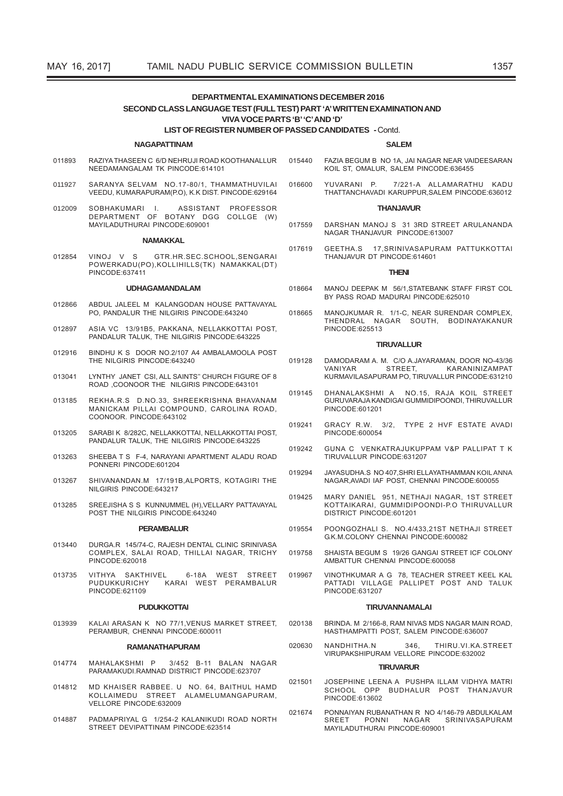# DEPARTMENTAL EXAMINATIONS DECEMBER 2016 SECOND CLASS LANGUAGE TEST (FULL TEST) PART 'A' WRITTEN EXAMINATION AND VIVA VOCE PARTS 'B' 'C' AND 'D'

### LIST OF REGISTER NUMBER OF PASSED CANDIDATES - Contd.

#### **NAGAPATTINAM**

- RAZIYA THASEEN C 6/D NEHRUJI ROAD KOOTHANALLUR 015440 011893 NEEDAMANGALAM TK PINCODE:614101
- SARANYA SELVAM NO 17-80/1 THAMMATHUVILAL 011927 VEEDU. KUMARAPURAM(P.O), K.K DIST. PINCODE:629164
- SOBHAKUMARI SOBHAKUMARI I. ASSISTANT PROFESSOR<br>DEPARTMENT OF BOTANY DGG COLLGE (W) 012009 MAYILADUTHURAL PINCODE:609001

#### ΝΑΜΑΚΚΔΙ

012854 VINOJ V S GTR.HR.SEC.SCHOOL,SENGARAI POWERKADU(PO), KOLLIHILLS(TK) NAMAKKAL(DT) PINCODE:637411

#### **UDHAGAMANDALAM**

- 012866 ABDUL JALEEL M KALANGODAN HOUSE PATTAVAYAL PO, PANDALUR THE NILGIRIS PINCODE:643240
- 012897 ASIA VC 13/91B5, PAKKANA, NELLAKKOTTAI POST. PANDALUR TALUK, THE NILGIRIS PINCODE:643225
- BINDHU K S DOOR NO.2/107 A4 AMBALAMOOLA POST 012916 THE NILGIRIS PINCODE:643240
- LYNTHY JANET CSI, ALL SAINTS" CHURCH FIGURE OF 8 013041 ROAD COONOOR THE NILGIRIS PINCODE:643101
- 013185 REKHA.R.S D.NO.33, SHREEKRISHNA BHAVANAM MANICKAM PILLAI COMPOUND. CAROLINA ROAD. COONOOR. PINCODE:643102
- 013205 SARARI K 8/282C, NELLAKKOTTAL NELLAKKOTTALPOST PANDALUR TALUK, THE NILGIRIS PINCODE:643225
- 013263 SHEEBA T S F-4, NARAYANI APARTMENT ALADU ROAD PONNERL PINCODE 601204
- SHIVANANDAN.M 17/191B, ALPORTS, KOTAGIRI THE 013267 NILGIRIS PINCODE 643217
- SREEJISHA S S KUNNUMMEL (H) VELLARY PATTAVAYAL 013285 POST THE NILGIRIS PINCODE:643240

#### **PERAMBALUR**

- DURGA.R 145/74-C. RAJESH DENTAL CLINIC SRINIVASA 013440 COMPLEX, SALAI ROAD, THILLAI NAGAR, TRICHY PINCODE:620018
- 013735 VITHYA SAKTHIVEL 6-18A WEST STREET PUDUKKURICHY KARAI WEST PERAMBALUR PINCODE:621109

#### **PUDUKKOTTAI**

KALAI ARASAN K NO 77/1, VENUS MARKET STREET, 013939 PERAMBUR. CHENNAI PINCODE:600011

#### **RAMANATHAPURAM**

- MAHALAKSHMI P 3/452 B-11 BALAN NAGAR 014774 PARAMAKUDI.RAMNAD DISTRICT PINCODE:623707
- 014812 MD KHAISER RABBEE. U NO. 64, BAITHUL HAMD KOLLAIMEDU STREET ALAMELUMANGAPURAM, VELLORE PINCODE:632009
- 014887 PADMAPRIYAL G 1/254-2 KALANIKUDI ROAD NORTH STREET DEVIPATTINAM PINCODE:623514

FA7IA BEGUM B NO 1A. JAI NAGAR NEAR VAIDEESARAN KOIL ST, OMALUR, SALEM PINCODE:636455

**SALEM** 

YUVARANI P. 7/221-A ALLAMARATHU KADU<br>THATTANCHAVADIKARUPPUR,SALEM PINCODE:636012 016600

#### **THAN.IAVUR**

- DARSHAN MANOJ S 31 3RD STREET ARUI ANANDA 017559 NAGAR THANJAVUR PINCODE:613007
- 017619 GEETHA S 17 SRINIVASAPURAM PATTUKKOTTAL THANJAVUR DT PINCODE:614601

#### **THENI**

- 018664 MANOJ DEEPAK M 56/1, STATEBANK STAFF FIRST COL BY PASS ROAD MADURAL PINCODE:625010
- MANOJKUMAR R. 1/1-C, NEAR SURENDAR COMPLEX, 018665 THENDRAL NAGAR SOUTH, BODINAYAKANUR PINCODE:625513

#### **TIRUVALLUR**

- 019128 DAMODARAM A. M. C/O A.JAYARAMAN, DOOR NO-43/36 STREET, VANIYAR KARANINIZAMPAT KURMAVILASAPURAM PO, TIRUVALLUR PINCODE:631210
- 019145 DHANALAKSHMI A NO.15, RAJA KOIL STREET GURUVARAJA KANDIGAI GUMMIDIPOONDI, THIRUVALLUR PINCODE:601201
- GRACY R.W. 3/2, TYPE 2 HVF ESTATE AVADI 019241 PINCODE:600054
- GUNA C VENKATRAJUKUPPAM V&P PALLIPAT T K 019242 TIRUVALLUR PINCODE 631207
- JAYASUDHA.S NO 407.SHRI ELLAYATHAMMAN KOIL ANNA 019294 NAGAR, AVADI IAF POST, CHENNAI PINCODE:600055
- MARY DANIEL 951, NETHAJI NAGAR, 1ST STREET 019425 KOTTAIKARAI, GUMMIDIPOONDI-PO THIRUVALLUR DISTRICT PINCODE:601201
- POONGOZHALL S NO 4/433 21ST NETHAJI STREET 019554 G.K.M.COLONY CHENNAL PINCODE:600082
- SHAISTA BEGUM S 19/26 GANGAL STREET ICE COLONY 019758 AMBATTUR CHENNAL PINCODE:600058
- 019967 VINOTHKUMAR A G 78, TEACHER STREET KEEL KAL PATTADI VILLAGE PALLIPET POST AND TALUK PINCODE:631207

#### **TIRUVANNAMALAI**

- BRINDA. M 2/166-8, RAM NIVAS MDS NAGAR MAIN ROAD, 020138 HASTHAMPATTI POST. SALEM PINCODE:636007
- THIRU.VI.KA.STREET 020630 NANDHITHA N  $346.$ VIRUPAKSHIPURAM VELLORE PINCODE:632002

### **TIRI IVARI IR**

- JOSEPHINE LEENA A PUSHPA ILLAM VIDHYA MATRI 021501 SCHOOL OPP BUDHALUR POST THANJAVUR PINCODE:613602
- PONNAIYAN RUBANATHAN R NO 4/146-79 ABDULKALAM 021674 SREET PONNI NAGAR SRINIVASAPURAM MAYILADUTHURAI PINCODE:609001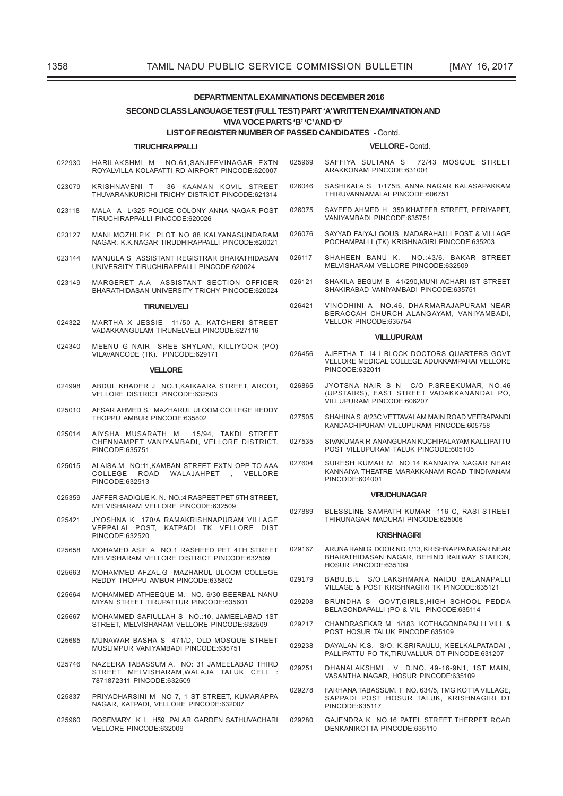### **DEPARTMENTAL EXAMINATIONS DECEMBER 2016**

### SECOND CLASS LANGUAGE TEST (FULL TEST) PART 'A' WRITTEN EXAMINATION AND VIVA VOCE PARTS 'B' 'C' AND 'D'

# **LIST OF REGISTER NUMBER OF PASSED CANDIDATES - Contd.**

### **TIRUCHIRAPPALLI**

- HARILAKSHMI M NO 61 SANJEEVINAGAR EXTN ROYALVILLA KOLAPATTI RD AIRPORT PINCODE:620007
- KRISHNAVENI T 36 KAAMAN KOVIL STREET 023079 THUVARANKURICHI TRICHY DISTRICT PINCODE 621314
- MALA A 1/325 POLICE COLONY ANNA NAGAR POST 023118 TIRUCHIRAPPALLI PINCODE:620026
- MANI MOZHI.P.K PLOT NO 88 KALYANASUNDARAM 023127 NAGAR, K.K.NAGAR TIRUDHIRAPPALLI PINCODE 620021
- MANJULA S ASSISTANT REGISTRAR BHARATHIDASAN 023144 UNIVERSITY TIRUCHIRAPPALLI PINCODE 620024
- 023149 MARGERET A A ASSISTANT SECTION OFFICER BHARATHIDASAN HNIVERSITY TRICHY PINCODE:620024

### **TIRUNELVELI**

- MARTHA X JESSIE 11/50 A. KATCHERI STREET 024322 VADAKKANGULAM TIRUNELVELI PINCODE:627116
- MEENU G NAIR SREE SHYLAM, KILLIYOOR (PO) 024340 VILAVANCODE (TK). PINCODE:629171

#### **VELLORE**

- ABDUL KHADER J NO 1 KAIKAARA STREET ARCOT 024998 **VELLORE DISTRICT PINCODE:632503**
- 025010 AFSAR AHMED S. MAZHARUL ULOOM COLLEGE REDDY THOPPLI AMBLIR PINCODE:635802
- AIYSHA MUSARATH M 025014 15/94. TAKDI STREET CHENNAMPET VANIYAMBADI, VELLORE DISTRICT. PINCODE:635751
- 025015 ALAISA.M NO:11, KAMBAN STREET EXTN OPP TO AAA COLLEGE ROAD WALAJAHPET , VELLORE PINCODE:632513
- 025359 JAFFER SADIQUE K. N. NO.: 4 RASPEET PET 5TH STREET, MELVISHARAM VELLORE PINCODE:632509
- 025421 JYOSHNA K 170/A RAMAKRISHNAPURAM VILLAGE VEPPALAI POST, KATPADI TK VELLORE DIST PINCODE:632520
- 025658 MOHAMED ASIF A NO 1 RASHEED PET 4TH STREET MELVISHARAM VELLORE DISTRICT PINCODE:632509
- 025663 MOHAMMED AFZAL.G MAZHARUL ULOOM COLLEGE REDDY THOPPLI AMBUR PINCODE 635802
- MOHAMMED ATHEEQUE M. NO. 6/30 BEERBAL NANU 025664 MIYAN STREET TIRUPATTUR PINCODE:635601
- 025667 MOHAMMED SAFIULLAH S NO.:10, JAMEELABAD 1ST STREET. MELVISHARAM VELLORE PINCODE:632509
- MUNAWAR BASHA S 471/D, OLD MOSQUE STREET 025685 MUSLIMPUR VANIYAMBADI PINCODE 635751
- NAZEERA TABASSUM A. NO: 31 JAMEELABAD THIRD<br>STREET MELVISHARAM,WALAJA TALUK CELL : 025746 7871872311 PINCODE:632509
- PRIYADHARSINI M NO 7 1 ST STREET KUMARAPPA 025837 NAGAR KATPADI VELLORE PINCODE 632007
- ROSEMARY K L H59, PALAR GARDEN SATHUVACHARI 025960 VELLORE PINCODE 632009

#### VFLLORE-Contd

- 025969 SAFFIYA SULTANA S 72/43 MOSQUE STREET ARAKKONAM PINCODE:631001
- 026046 SASHIKALA S 1/175B, ANNA NAGAR KALASAPAKKAM THIRUVANNAMALAL PINCODE 606751
- 026075 SAYEED AHMED H 350, KHATEEB STREET, PERIYAPET, VANIYAMBADI PINCODE:635751
- 026076 SAYYAD FAIYAJ GOUS MADARAHALLI POST & VILLAGE POCHAMPALLI (TK) KRISHNAGIRI PINCODE:635203
- 026117 SHAHEEN BANU K. NO.:43/6. BAKAR STREET MELVISHARAM VELLORE PINCODE:632509
- SHAKILA BEGUM B 41/290, MUNI ACHARI IST STREET 026121 SHAKIRABAD VANIYAMBADI PINCODE:635751
- VINODHINI A NO.46, DHARMARAJAPURAM NEAR 026421 BERACCAH CHURCH ALANGAYAM, VANIYAMBADI, VELLOR PINCODE:635754

### **VILLUPURAM**

- 026456 AJEETHA T 14 I BLOCK DOCTORS QUARTERS GOVT VELLORE MEDICAL COLLEGE ADUKKAMPARAI VELLORE PINCODE:632011
- 026865 JYOTSNA NAIR S N C/O P.SREEKUMAR, NO.46 UPSTAIRS), EAST STREET VADAKKANANDAL PO,<br>VILLUPURAM PINCODE:606207
- 027505 SHAHINA S 8/23C VETTAVALAM MAIN ROAD VEERAPANDI KANDACHIPURAM VILLUPURAM PINCODE:605758
- SIVAKUMAR RANANGURAN KUCHIPALAYAM KALLIPATTU 027535 POST VILLUPURAM TALUK PINCODE:605105
- 027604 SURESH KUMAR M NO 14 KANNAIYA NAGAR NEAR KANNAIYA THEATRE MARAKKANAM ROAD TINDIVANAM PINCODE:604001

#### **VIRLIDHLINAGAR**

027889 BLESSLINE SAMPATH KUMAR 116 C, RASI STREET THIRUNAGAR MADURAI PINCODE:625006

#### **KRISHNAGIRI**

- ARUNA RANI G DOOR NO.1/13, KRISHNAPPA NAGAR NEAR 029167 BHARATHIDASAN NAGAR, BEHIND RAILWAY STATION, HOSUR PINCODE:635109
- BARII R I S/O LAKSHMANA NAIDII BALANAPALLI 029179 VILLAGE & POST KRISHNAGIRI TK PINCODE:635121
- 029208 BRUNDHA S GOVT, GIRLS, HIGH SCHOOL PEDDA BELAGONDAPALLI (PO & VIL PINCODE:635114
- CHANDRASEKAR M 1/183, KOTHAGONDAPALLI VILL & 029217 POST HOSUR TALUK PINCODE:635109
- DAYALAN K.S. S/O. K.SRIRAULU, KEELKALPATADAI, 029238 PALLIPATTU PO TK,TIRUVALLUR DT PINCODE:631207
- 029251 DHANALAKSHMI. V D.NO. 49-16-9N1, 1ST MAIN, VASANTHA NAGAR, HOSUR PINCODE:635109
- 029278 FARHANA TABASSUM. T NO. 634/5. TMG KOTTA VILLAGE. SAPPADI POST HOSUR TALUK, KRISHNAGIRI DT PINCODE:635117
- GAJENDRA K NO.16 PATEL STREET THERPET ROAD 029280 DENKANIKOTTA PINCODE 635110

022930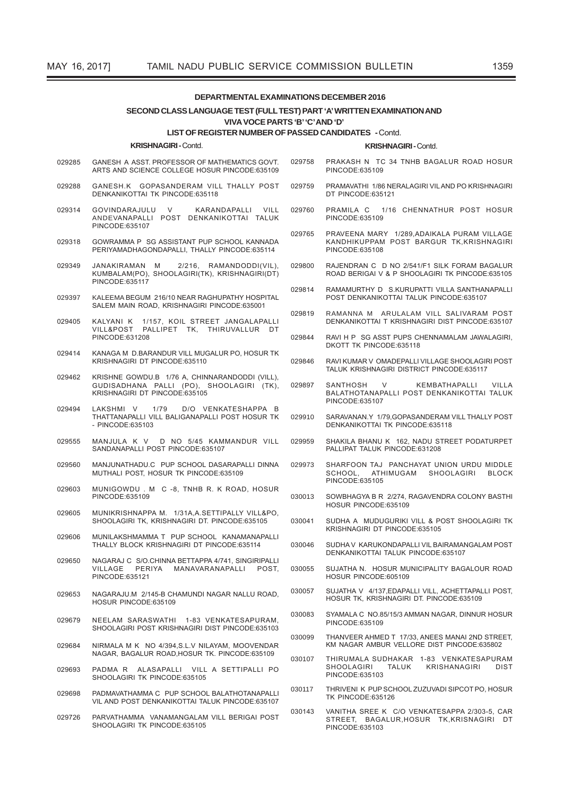#### **DEPARTMENTAL EXAMINATIONS DECEMBER 2016** SECOND CLASS LANGUAGE TEST (FULL TEST) PART 'A' WRITTEN EXAMINATION AND VIVA VOCE PARTS 'B' 'C' AND 'D' **LIST OF REGISTER NUMBER OF PASSED CANDIDATES - Contd. KRISHNAGIRI-Contd. KRISHNAGIRI-Contd** PRAKASH N TC 34 TNHB BAGALUR ROAD HOSUR 029285 GANESH A ASST. PROFESSOR OF MATHEMATICS GOVT. 029758 ARTS AND SCIENCE COLLEGE HOSUR PINCODE:635109 PINCODE:635109 029288 GANESH.K GOPASANDERAM VILL THALLY POST 029759 PRAMAVATHI 1/86 NERALAGIRI VILAND PO KRISHNAGIRI DENKANIKOTTAL TK PINCODE 635118 DT PINCODE:635121 GOVINDARAJULU  $\overline{V}$ KARANDAPALLI  $VIII$ 029760 PRAMILA C 1/16 CHENNATHUR POST HOSUR 029314 ANDEVANAPALLI POST DENKANIKOTTAI TALUK PINCODE:635109 PINCODE:635107 029765 PRAVEENA MARY 1/289, ADAIKALA PURAM VILLAGE GOWRAMMA P SG ASSISTANT PUP SCHOOL KANNADA KANDHIKUPPAM POST BARGUR TK, KRISHNAGIRI 029318 PERIYAMADHAGONDAPALLI, THALLY PINCODE:635114 PINCODE:635108 029349 JANAKIRAMAN M 2/216. RAMANDODDI(VIL). 029800 RAJENDRAN C D NO 2/541/F1 SILK FORAM BAGALUR KUMBALAM(PO), SHOOLAGIRI(TK), KRISHNAGIRI(DT) ROAD BERIGAI V & P SHOOLAGIRI TK PINCODE:635105 PINCODE:635117 029814 RAMAMURTHY D S.KURUPATTI VILLA SANTHANAPALLI 029397 KALEEMA BEGUM 216/10 NEAR RAGHUPATHY HOSPITAL POST DENKANIKOTTAL TALLIK PINCODE 635107 SALEM MAIN ROAD, KRISHNAGIRI PINCODE:635001 029819 RAMANNA M ARULALAM VILL SALIVARAM POST KALYANI K 1/157, KOIL STREET JANGALAPALLI<br>VILL&POST PALLIPET TK, THIRUVALLUR DT 029405 DENKANIKOTTAI T KRISHNAGIRI DIST PINCODE:635107 RAVI H P SG ASST PUPS CHENNAMALAM JAWALAGIRI, PINCODE:631208 029844 DKOTT TK PINCODE:635118 029414 KANAGA M D.BARANDUR VILL MUGALUR PO. HOSUR TK KRISHNAGIRI DT PINCODE 635110 029846 RAVI KUMAR V OMADEPALLI VILLAGE SHOOLAGIRI POST TALUK KRISHNAGIRI DISTRICT PINCODE:635117 KRISHNE GOWDU.B 1/76 A, CHINNARANDODDI (VILL), 029462 GUDISADHANA PALLI (PO), SHOOLAGIRI (TK). 029897 **SANTHOSH** KEMBATHAPALLI **VILLA** KRISHNAGIRI DT PINCODE: 635105 BALATHOTANAPALLI POST DENKANIKOTTAI TALUK PINCODE:635107 LAKSHMI V  $1/79$ D/O VENKATESHAPPA B 029494 THATTANAPALLI VILL BALIGANAPALLI POST HOSUR TK 029910 SARAVANAN.Y 1/79, GOPASANDERAM VILL THALLY POST - PINCODE:635103 DENKANIKOTTAI TK PINCODE:635118 MANJULA K V D NO 5/45 KAMMANDUR VILL SHAKILA BHANU K 162, NADU STREET PODATURPET 029959 029555 SANDANAPALLI POST PINCODE:635107 PALLIPAT TALUK PINCODE:631208 029560 MANJUNATHADU.C PUP SCHOOL DASARAPALLI DINNA 029973 SHARFOON TAJ PANCHAYAT UNION URDU MIDDLE MUTHALI POST, HOSUR TK PINCODE:635109 ATHIMUGAM SHOOLAGIRI BLOCK SCHOOL PINCODE:635105 MUNIGOWDU, M C -8, TNHB R, K ROAD, HOSUR 029603 PINCODE:635109 030013 SOWBHAGYA B R 2/274, RAGAVENDRA COLONY BASTHI HOSUR PINCODE 635109 029605 MUNIKRISHNAPPA M. 1/31A.A.SETTIPALLY VILL&PO. SHOOLAGIRI TK, KRISHNAGIRI DT, PINCODE:635105 030041 SUDHA A MUDUGURIKI VILL & POST SHOOLAGIRI TK KRISHNAGIRI DT PINCODE:635105 MUNILAKSHMAMMA T PUP SCHOOL KANAMANAPALLI 029606 THALLY BLOCK KRISHNAGIRI DT PINCODE:635114 SUDHA V KARUKONDAPALLI VIL BAIRAMANGALAM POST 030046 DENKANIKOTTAI TALUK PINCODE:635107 NAGARAJ C S/O.CHINNA BETTAPPA 4/741, SINGIRIPALLI 029650 PERIYA MANAVARANAPAIII POST SUJATHA N HOSUR MUNICIPALITY BAGALOUR ROAD VII LAGE 030055 PINCODE:635121 HOSUR PINCODE:605109 030057 SUJATHA V 4/137, EDAPALLI VILL, ACHETTAPALLI POST, 029653 NAGARAJU.M 2/145-B CHAMUNDI NAGAR NALLU ROAD, HOSUR TK. KRISHNAGIRI DT. PINCODE:635109 HOSUR PINCODE:635109 030083 SYAMALA C NO.85/15/3 AMMAN NAGAR, DINNUR HOSUR 029679 NEELAM SARASWATHI 1-83 VENKATESAPURAM PINCODE:635109 SHOOLAGIRI POST KRISHNAGIRI DIST PINCODE:635103 030099 THANVEER AHMED T 17/33, ANEES MANAI 2ND STREET, NIRMALA M K NO 4/394.S.L.V NILAYAM, MOOVENDAR KM NAGAR AMBUR VELLORE DIST PINCODE:635802 029684 NAGAR, BAGALUR ROAD, HOSUR TK. PINCODE:635109 THIRUMALA SUDHAKAR 1-83 VENKATESAPURAM 030107 SHOOLAGIRI TALUK KRISHANAGIRI **DIST** PADMA R ALASAPALLI VILL A SETTIPALLI PO 029693 PINCODE:635103 SHOOLAGIRI TK PINCODE:635105 THRIVENI K PUP SCHOOL ZUZUVADI SIPCOT PO, HOSUR 030117 PADMAVATHAMMA C. PUP SCHOOL BALATHOTANAPALLI 029698 **TK PINCODE:635126** VIL AND POST DENKANIKOTTAL TALLIK PINCODE 635107 030143 VANITHA SREE K C/O VENKATESAPPA 2/303-5, CAR PARVATHAMMA VANAMANGALAM VILL BERIGAI POST<br>SHOOLAGIRI TK PINCODE:635105 029726 STREET, BAGALUR, HOSUR TK, KRISNAGIRI DT

PINCODE:635103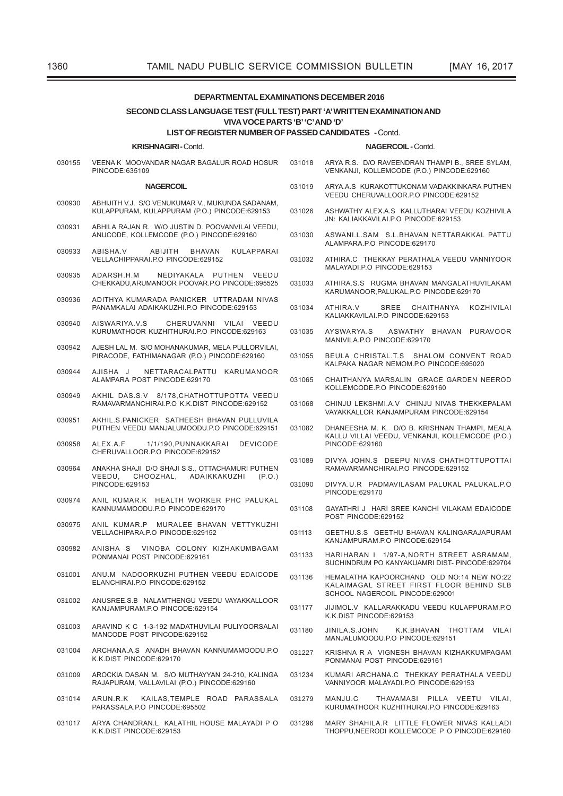| <b>DEPARTMENTAL EXAMINATIONS DECEMBER 2016</b>                                                             |                                                                                                  |        |                                                                                                                          |  |  |  |  |  |  |  |
|------------------------------------------------------------------------------------------------------------|--------------------------------------------------------------------------------------------------|--------|--------------------------------------------------------------------------------------------------------------------------|--|--|--|--|--|--|--|
| SECOND CLASS LANGUAGE TEST (FULL TEST) PART 'A' WRITTEN EXAMINATION AND<br>VIVA VOCE PARTS 'B' 'C' AND 'D' |                                                                                                  |        |                                                                                                                          |  |  |  |  |  |  |  |
| <b>LIST OF REGISTER NUMBER OF PASSED CANDIDATES - Contd.</b>                                               |                                                                                                  |        |                                                                                                                          |  |  |  |  |  |  |  |
|                                                                                                            | <b>KRISHNAGIRI-Contd.</b>                                                                        |        | NAGERCOIL-Contd.                                                                                                         |  |  |  |  |  |  |  |
| 030155                                                                                                     | VEENA K MOOVANDAR NAGAR BAGALUR ROAD HOSUR<br>PINCODE:635109                                     | 031018 | ARYA R.S. D/O RAVEENDRAN THAMPI B., SREE SYLAM,<br>VENKANJI, KOLLEMCODE (P.O.) PINCODE:629160                            |  |  |  |  |  |  |  |
|                                                                                                            | <b>NAGERCOIL</b>                                                                                 | 031019 | ARYA.A.S KURAKOTTUKONAM VADAKKINKARA PUTHEN<br>VEEDU CHERUVALLOOR.P.O PINCODE:629152                                     |  |  |  |  |  |  |  |
| 030930                                                                                                     | ABHIJITH V.J. S/O VENUKUMAR V., MUKUNDA SADANAM,<br>KULAPPURAM, KULAPPURAM (P.O.) PINCODE:629153 | 031026 | ASHWATHY ALEX.A.S KALLUTHARAI VEEDU KOZHIVILA<br>JN: KALIAKKAVILAI.P.O PINCODE:629153                                    |  |  |  |  |  |  |  |
| 030931                                                                                                     | ABHILA RAJAN R. W/O JUSTIN D. POOVANVILAI VEEDU,<br>ANUCODE, KOLLEMCODE (P.O.) PINCODE:629160    | 031030 | ASWANI.L.SAM S.L.BHAVAN NETTARAKKAL PATTU<br>ALAMPARA.P.O PINCODE:629170                                                 |  |  |  |  |  |  |  |
| 030933                                                                                                     | KULAPPARAI<br>ABISHA.V<br>ABIJITH<br><b>BHAVAN</b><br>VELLACHIPPARAI.P.O PINCODE:629152          | 031032 | ATHIRA.C THEKKAY PERATHALA VEEDU VANNIYOOR<br>MALAYADI.P.O PINCODE:629153                                                |  |  |  |  |  |  |  |
| 030935                                                                                                     | NEDIYAKALA PUTHEN VEEDU<br>ADARSH.H.M<br>CHEKKADU, ARUMANOOR POOVAR.P.O PINCODE:695525           | 031033 | ATHIRA.S.S RUGMA BHAVAN MANGALATHUVILAKAM<br>KARUMANOOR, PALUKAL.P.O PINCODE:629170                                      |  |  |  |  |  |  |  |
| 030936                                                                                                     | ADITHYA KUMARADA PANICKER UTTRADAM NIVAS<br>PANAMKALAI ADAIKAKUZHI.P.O PINCODE:629153            | 031034 | SREE CHAITHANYA<br>KOZHIVILAI<br>ATHIRA.V<br>KALIAKKAVILAI.P.O PINCODE:629153                                            |  |  |  |  |  |  |  |
| 030940                                                                                                     | AISWARIYA.V.S<br>CHERUVANNI VILAI VEEDU<br>KURUMATHOOR KUZHITHURAI.P.O PINCODE:629163            | 031035 | ASWATHY BHAVAN PURAVOOR<br>AYSWARYA.S<br>MANIVILA.P.O PINCODE:629170                                                     |  |  |  |  |  |  |  |
| 030942                                                                                                     | AJESH LAL M. S/O MOHANAKUMAR, MELA PULLORVILAI,<br>PIRACODE, FATHIMANAGAR (P.O.) PINCODE:629160  | 031055 | BEULA CHRISTAL.T.S SHALOM CONVENT ROAD<br>KALPAKA NAGAR NEMOM.P.O PINCODE:695020                                         |  |  |  |  |  |  |  |
| 030944                                                                                                     | NETTARACALPATTU KARUMANOOR<br>AJISHA J<br>ALAMPARA POST PINCODE:629170                           |        | CHAITHANYA MARSALIN GRACE GARDEN NEEROD<br>KOLLEMCODE.P.O PINCODE:629160                                                 |  |  |  |  |  |  |  |
| 030949                                                                                                     | AKHIL DAS.S.V 8/178, CHATHOTTUPOTTA VEEDU<br>RAMAVARMANCHIRAI.P.O K.K.DIST PINCODE:629152        | 031068 | CHINJU LEKSHMI.A.V CHINJU NIVAS THEKKEPALAM<br>VAYAKKALLOR KANJAMPURAM PINCODE:629154                                    |  |  |  |  |  |  |  |
| 030951                                                                                                     | AKHIL.S.PANICKER SATHEESH BHAVAN PULLUVILA<br>PUTHEN VEEDU MANJALUMOODU.P.O PINCODE:629151       | 031082 | DHANEESHA M. K. D/O B. KRISHNAN THAMPI, MEALA<br>KALLU VILLAI VEEDU, VENKANJI, KOLLEMCODE (P.O.)                         |  |  |  |  |  |  |  |
| 030958                                                                                                     | ALEX.A.F<br>1/1/190, PUNNAKKARAI<br><b>DEVICODE</b><br>CHERUVALLOOR.P.O PINCODE:629152           |        | PINCODE:629160                                                                                                           |  |  |  |  |  |  |  |
| 030964                                                                                                     | ANAKHA SHAJI D/O SHAJI S.S., OTTACHAMURI PUTHEN<br>VEEDU,<br>CHOOZHAL,<br>ADAIKKAKUZHI<br>(P.O.) | 031089 | DIVYA JOHN.S DEEPU NIVAS CHATHOTTUPOTTAI<br>RAMAVARMANCHIRAI.P.O PINCODE:629152                                          |  |  |  |  |  |  |  |
| 030974                                                                                                     | PINCODE:629153<br>ANIL KUMAR.K HEALTH WORKER PHC PALUKAL                                         | 031090 | DIVYA.U.R PADMAVILASAM PALUKAL PALUKAL.P.O<br>PINCODE:629170                                                             |  |  |  |  |  |  |  |
| 030975                                                                                                     | KANNUMAMOODU.P.O PINCODE:629170                                                                  | 031108 | GAYATHRI J HARI SREE KANCHI VILAKAM EDAICODE<br>POST PINCODE:629152                                                      |  |  |  |  |  |  |  |
|                                                                                                            | ANIL KUMAR.P MURALEE BHAVAN VETTYKUZHI<br>VELLACHIPARA.P.O PINCODE:629152                        | 031113 | GEETHU.S.S GEETHU BHAVAN KALINGARAJAPURAM<br>KANJAMPURAM.P.O PINCODE:629154                                              |  |  |  |  |  |  |  |
| 030982                                                                                                     | ANISHA S VINOBA COLONY KIZHAKUMBAGAM<br>PONMANAI POST PINCODE:629161                             | 031133 | HARIHARAN I 1/97-A, NORTH STREET ASRAMAM,<br>SUCHINDRUM PO KANYAKUAMRI DIST- PINCODE:629704                              |  |  |  |  |  |  |  |
| 031001                                                                                                     | ANU.M NADOORKUZHI PUTHEN VEEDU EDAICODE<br>ELANCHIRAI.P.O PINCODE:629152                         | 031136 | HEMALATHA KAPOORCHAND OLD NO:14 NEW NO:22<br>KALAIMAGAL STREET FIRST FLOOR BEHIND SLB<br>SCHOOL NAGERCOIL PINCODE:629001 |  |  |  |  |  |  |  |
| 031002                                                                                                     | ANUSREE.S.B NALAMTHENGU VEEDU VAYAKKALLOOR<br>KANJAMPURAM.P.O PINCODE:629154                     | 031177 | JIJIMOL.V KALLARAKKADU VEEDU KULAPPURAM.P.O<br>K.K.DIST PINCODE:629153                                                   |  |  |  |  |  |  |  |
| 031003                                                                                                     | ARAVIND K C 1-3-192 MADATHUVILAI PULIYOORSALAI<br>MANCODE POST PINCODE:629152                    | 031180 | JINILA.S.JOHN<br>K.K.BHAVAN THOTTAM VILAI<br>MANJALUMOODU.P.O PINCODE:629151                                             |  |  |  |  |  |  |  |
| 031004                                                                                                     | ARCHANA.A.S ANADH BHAVAN KANNUMAMOODU.P.O<br>K.K.DIST PINCODE:629170                             | 031227 | KRISHNA R A VIGNESH BHAVAN KIZHAKKUMPAGAM<br>PONMANAI POST PINCODE:629161                                                |  |  |  |  |  |  |  |
| 031009                                                                                                     | AROCKIA DASAN M. S/O MUTHAYYAN 24-210, KALINGA<br>RAJAPURAM, VALLAVILAI (P.O.) PINCODE:629160    | 031234 | KUMARI ARCHANA.C THEKKAY PERATHALA VEEDU<br>VANNIYOOR MALAYADI.P.O PINCODE:629153                                        |  |  |  |  |  |  |  |
| 031014                                                                                                     | KAILAS, TEMPLE ROAD PARASSALA<br>ARUN.R.K<br>PARASSALA.P.O PINCODE:695502                        | 031279 | MANJU.C<br>THAVAMASI PILLA VEETU VILAI,<br>KURUMATHOOR KUZHITHURAI.P.O PINCODE:629163                                    |  |  |  |  |  |  |  |
| 031017                                                                                                     | ARYA CHANDRAN.L KALATHIL HOUSE MALAYADI P O<br>K.K.DIST PINCODE:629153                           | 031296 | MARY SHAHILA.R LITTLE FLOWER NIVAS KALLADI<br>THOPPU, NEERODI KOLLEMCODE P O PINCODE:629160                              |  |  |  |  |  |  |  |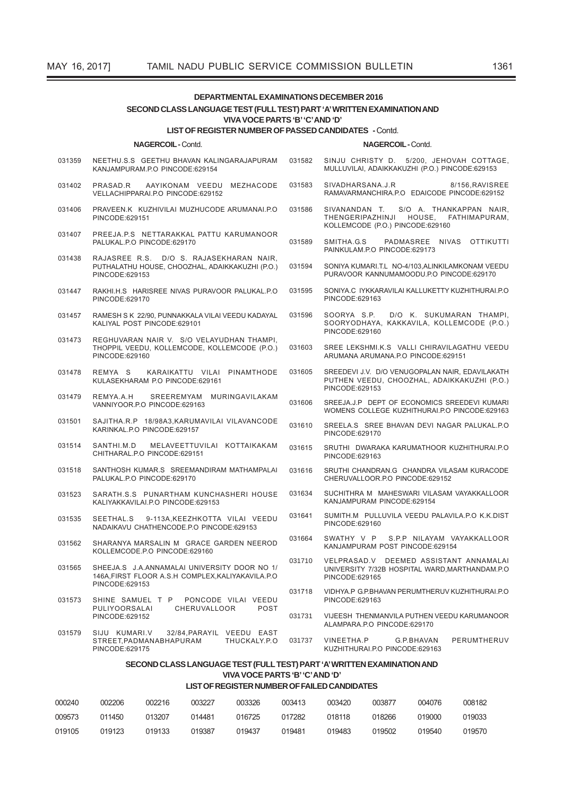| <b>DEPARTMENTAL EXAMINATIONS DECEMBER 2016</b><br>SECOND CLASS LANGUAGE TEST (FULL TEST) PART 'A' WRITTEN EXAMINATION AND |                                                                                                 |                         |                                          |                                                                                                   |                                                                                               |                                                                                                            |                         |            |                                                                                                |  |  |  |
|---------------------------------------------------------------------------------------------------------------------------|-------------------------------------------------------------------------------------------------|-------------------------|------------------------------------------|---------------------------------------------------------------------------------------------------|-----------------------------------------------------------------------------------------------|------------------------------------------------------------------------------------------------------------|-------------------------|------------|------------------------------------------------------------------------------------------------|--|--|--|
|                                                                                                                           | VIVA VOCE PARTS 'B' 'C' AND 'D'<br><b>LIST OF REGISTER NUMBER OF PASSED CANDIDATES - Contd.</b> |                         |                                          |                                                                                                   |                                                                                               |                                                                                                            |                         |            |                                                                                                |  |  |  |
|                                                                                                                           |                                                                                                 | <b>NAGERCOIL-Contd.</b> |                                          |                                                                                                   |                                                                                               |                                                                                                            | <b>NAGERCOIL-Contd.</b> |            |                                                                                                |  |  |  |
| 031359                                                                                                                    | KANJAMPURAM.P.O PINCODE:629154                                                                  |                         |                                          | NEETHU.S.S GEETHU BHAVAN KALINGARAJAPURAM                                                         | 031582                                                                                        |                                                                                                            |                         |            | SINJU CHRISTY D. 5/200, JEHOVAH COTTAGE,<br>MULLUVILAI, ADAIKKAKUZHI (P.O.) PINCODE:629153     |  |  |  |
| 031402                                                                                                                    | PRASAD.R<br>VELLACHIPPARAI.P.O PINCODE:629152                                                   |                         |                                          | AAYIKONAM VEEDU MEZHACODE                                                                         | 031583                                                                                        | SIVADHARSANA.J.R                                                                                           |                         |            | 8/156, RAVISREE<br>RAMAVARMANCHIRA.P.O EDAICODE PINCODE:629152                                 |  |  |  |
| 031406                                                                                                                    | PINCODE:629151                                                                                  |                         |                                          | PRAVEEN.K KUZHIVILAI MUZHUCODE ARUMANAI.P.O                                                       | 031586                                                                                        | THENGERIPAZHINJI<br>KOLLEMCODE (P.O.) PINCODE:629160                                                       |                         | HOUSE,     | SIVANANDAN T. S/O A. THANKAPPAN NAIR,<br>FATHIMAPURAM,                                         |  |  |  |
| 031407                                                                                                                    | PALUKAL.P.O PINCODE:629170                                                                      |                         |                                          | PREEJA.P.S NETTARAKKAL PATTU KARUMANOOR                                                           | 031589                                                                                        | SMITHA.G.S<br>PAINKULAM.P.O PINCODE:629173                                                                 |                         |            | PADMASREE NIVAS OTTIKUTTI                                                                      |  |  |  |
| 031438                                                                                                                    | PINCODE:629153                                                                                  |                         |                                          | RAJASREE R.S. D/O S. RAJASEKHARAN NAIR,<br>PUTHALATHU HOUSE, CHOOZHAL, ADAIKKAKUZHI (P.O.)        | 031594                                                                                        |                                                                                                            |                         |            | SONIYA KUMARI.T.L NO-4/103, ALINKILAMKONAM VEEDU<br>PURAVOOR KANNUMAMOODU.P.O PINCODE:629170   |  |  |  |
| 031447                                                                                                                    | PINCODE:629170                                                                                  |                         |                                          | RAKHI.H.S HARISREE NIVAS PURAVOOR PALUKAL.P.O                                                     | 031595                                                                                        | PINCODE:629163                                                                                             |                         |            | SONIYA.C IYKKARAVILAI KALLUKETTY KUZHITHURAI.P.O                                               |  |  |  |
| 031457                                                                                                                    | KALIYAL POST PINCODE:629101                                                                     |                         |                                          | RAMESH S K 22/90, PUNNAKKALA VILAI VEEDU KADAYAL                                                  | 031596                                                                                        | SOORYA S.P.<br>PINCODE:629160                                                                              |                         |            | D/O K. SUKUMARAN THAMPI,<br>SOORYODHAYA, KAKKAVILA, KOLLEMCODE (P.O.)                          |  |  |  |
| 031473                                                                                                                    | PINCODE:629160                                                                                  |                         |                                          | REGHUVARAN NAIR V. S/O VELAYUDHAN THAMPI,<br>THOPPIL VEEDU, KOLLEMCODE, KOLLEMCODE (P.O.)         | 031603                                                                                        | SREE LEKSHMI.K.S VALLI CHIRAVILAGATHU VEEDU<br>ARUMANA ARUMANA.P.O PINCODE:629151                          |                         |            |                                                                                                |  |  |  |
| 031478                                                                                                                    | REMYA S<br>KULASEKHARAM P.O PINCODE:629161                                                      |                         |                                          | KARAIKATTU VILAI PINAMTHODE                                                                       | 031605                                                                                        | PINCODE:629153                                                                                             |                         |            | SREEDEVI J.V. D/O VENUGOPALAN NAIR, EDAVILAKATH<br>PUTHEN VEEDU, CHOOZHAL, ADAIKKAKUZHI (P.O.) |  |  |  |
| 031479                                                                                                                    | REMYA.A.H<br>VANNIYOOR.P.O PINCODE:629163                                                       |                         | SREEREMYAM MURINGAVILAKAM                | 031606                                                                                            | SREEJA.J.P DEPT OF ECONOMICS SREEDEVI KUMARI<br>WOMENS COLLEGE KUZHITHURAI.P.O PINCODE:629163 |                                                                                                            |                         |            |                                                                                                |  |  |  |
| 031501                                                                                                                    | KARINKAL.P.O PINCODE:629157                                                                     |                         |                                          | SAJITHA.R.P 18/98A3, KARUMAVILAI VILAVANCODE                                                      | 031610                                                                                        | PINCODE:629170                                                                                             |                         |            | SREELA.S SREE BHAVAN DEVI NAGAR PALUKAL.P.O                                                    |  |  |  |
| 031514                                                                                                                    | SANTHI.M.D<br>CHITHARAL.P.O PINCODE:629151                                                      |                         |                                          | MELAVEETTUVILAI KOTTAIKAKAM                                                                       | 031615                                                                                        | PINCODE:629163                                                                                             |                         |            | SRUTHI DWARAKA KARUMATHOOR KUZHITHURAI.P.O                                                     |  |  |  |
| 031518                                                                                                                    | PALUKAL.P.O PINCODE:629170                                                                      |                         |                                          | SANTHOSH KUMAR.S SREEMANDIRAM MATHAMPALAI                                                         | 031616                                                                                        | SRUTHI CHANDRAN.G CHANDRA VILASAM KURACODE<br>CHERUVALLOOR.P.O PINCODE:629152                              |                         |            |                                                                                                |  |  |  |
| 031523                                                                                                                    | KALIYAKKAVILAI.P.O PINCODE:629153                                                               |                         |                                          | SARATH.S.S PUNARTHAM KUNCHASHERI HOUSE                                                            | 031634                                                                                        | SUCHITHRA M MAHESWARI VILASAM VAYAKKALLOOR<br>KANJAMPURAM PINCODE:629154                                   |                         |            |                                                                                                |  |  |  |
| 031535                                                                                                                    | SEETHAL.S                                                                                       |                         | NADAIKAVU CHATHENCODE.P.O PINCODE:629153 | 9-113A, KEEZHKOTTA VILAI VEEDU                                                                    | 031641                                                                                        | PINCODE:629160                                                                                             |                         |            | SUMITH.M PULLUVILA VEEDU PALAVILA.P.O K.K.DIST                                                 |  |  |  |
| 031562                                                                                                                    | KOLLEMCODE.P.O PINCODE:629160                                                                   |                         |                                          | SHARANYA MARSALIN M GRACE GARDEN NEEROD                                                           | 031664                                                                                        | SWATHY V P S.P.P NILAYAM VAYAKKALLOOR<br>KANJAMPURAM POST PINCODE:629154                                   |                         |            |                                                                                                |  |  |  |
| 031565                                                                                                                    | PINCODE:629153                                                                                  |                         |                                          | SHEEJA.S J.A.ANNAMALAI UNIVERSITY DOOR NO 1/<br>146A, FIRST FLOOR A.S.H COMPLEX, KALIYAKAVILA.P.O | 031710                                                                                        | VELPRASAD.V DEEMED ASSISTANT ANNAMALAI<br>UNIVERSITY 7/32B HOSPITAL WARD, MARTHANDAM.P.O<br>PINCODE:629165 |                         |            |                                                                                                |  |  |  |
| 031573                                                                                                                    | PULIYOORSALAI                                                                                   |                         | CHERUVALLOOR                             | SHINE SAMUEL T P PONCODE VILAI VEEDU<br><b>POST</b>                                               | 031718                                                                                        | PINCODE:629163                                                                                             |                         |            | VIDHYA.P G.P.BHAVAN PERUMTHERUV KUZHITHURAI.P.O                                                |  |  |  |
| 031579                                                                                                                    | PINCODE:629152<br>SIJU KUMARI.V                                                                 |                         | 32/84, PARAYIL VEEDU EAST                |                                                                                                   | 031731                                                                                        | VIJEESH THENMANVILA PUTHEN VEEDU KARUMANOOR<br>ALAMPARA.P.O PINCODE:629170                                 |                         |            |                                                                                                |  |  |  |
|                                                                                                                           | STREET, PADMANABHAPURAM<br>PINCODE:629175                                                       |                         |                                          | THUCKALY.P.O                                                                                      | 031737                                                                                        | VINEETHA.P<br>KUZHITHURAI.P.O PINCODE:629163                                                               |                         | G.P.BHAVAN | PERUMTHERUV                                                                                    |  |  |  |
|                                                                                                                           | SECOND CLASS LANGUAGE TEST (FULL TEST) PART 'A' WRITTEN EXAMINATION AND                         |                         |                                          |                                                                                                   |                                                                                               |                                                                                                            |                         |            |                                                                                                |  |  |  |
|                                                                                                                           |                                                                                                 |                         |                                          | VIVA VOCE PARTS 'B' 'C' AND 'D'<br>LIST OF REGISTER NUMBER OF FAILED CANDIDATES                   |                                                                                               |                                                                                                            |                         |            |                                                                                                |  |  |  |
| 000240                                                                                                                    | 002206                                                                                          | 002216                  | 003227                                   | 003326                                                                                            | 003413                                                                                        | 003420                                                                                                     | 003877                  | 004076     | 008182                                                                                         |  |  |  |
| 009573                                                                                                                    | 011450                                                                                          | 013207                  | 014481                                   | 016725                                                                                            | 017282                                                                                        | 018118                                                                                                     | 018266                  | 019000     | 019033                                                                                         |  |  |  |

019105 019123 019133 019387 019437 019481 019483 019502 019540 019570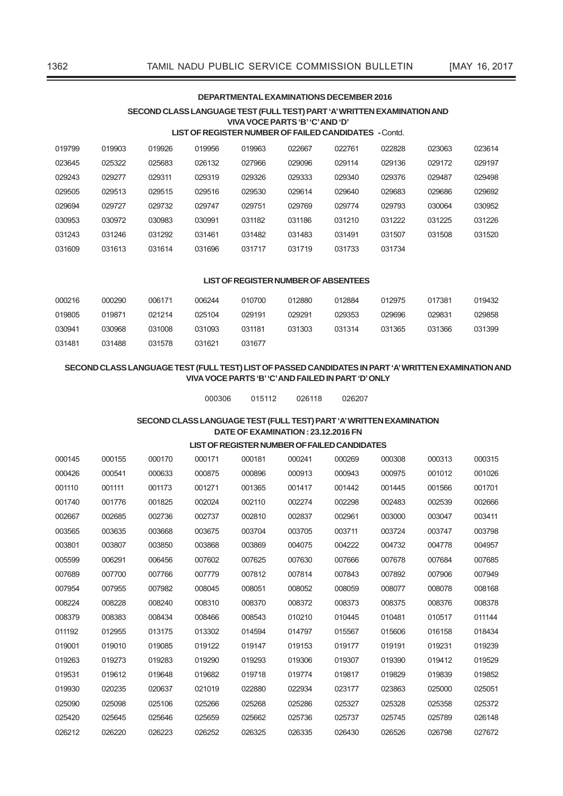# **deParTmeNTal eXamiNaTioNS december 2016**

# **SecoNd claSS laNGuaGe TeST (Full TeST) ParT 'a' WriTTeN eXamiNaTioN aNd viva voce ParTS 'b' 'c' aNd 'd'**

# **liST oF reGiSTer Number oF Failed caNdidaTeS -** Contd.

| 019799 | 019903 | 019926 | 019956 | 019963 | 022667 | 022761 | 022828 | 023063 | 023614 |
|--------|--------|--------|--------|--------|--------|--------|--------|--------|--------|
| 023645 | 025322 | 025683 | 026132 | 027966 | 029096 | 029114 | 029136 | 029172 | 029197 |
| 029243 | 029277 | 029311 | 029319 | 029326 | 029333 | 029340 | 029376 | 029487 | 029498 |
| 029505 | 029513 | 029515 | 029516 | 029530 | 029614 | 029640 | 029683 | 029686 | 029692 |
| 029694 | 029727 | 029732 | 029747 | 029751 | 029769 | 029774 | 029793 | 030064 | 030952 |
| 030953 | 030972 | 030983 | 030991 | 031182 | 031186 | 031210 | 031222 | 031225 | 031226 |
| 031243 | 031246 | 031292 | 031461 | 031482 | 031483 | 031491 | 031507 | 031508 | 031520 |
| 031609 | 031613 | 031614 | 031696 | 031717 | 031719 | 031733 | 031734 |        |        |

### **liST oF reGiSTer Number oF abSeNTeeS**

| 000216 | 000290 | 006171 | 006244 | 010700 | 012880 | 012884 | 012975 | 017381 | 019432 |
|--------|--------|--------|--------|--------|--------|--------|--------|--------|--------|
| 019805 | 019871 | 021214 | 025104 | 029191 | 029291 | 029353 | 029696 | 029831 | 029858 |
| 030941 | 030968 | 031008 | 031093 | 031181 | 031303 | 031314 | 031365 | 031366 | 031399 |
| 031481 | 031488 | 031578 | 031621 | 031677 |        |        |        |        |        |

# SECOND CLASS LANGUAGE TEST (FULL TEST) LIST OF PASSED CANDIDATES IN PART 'A' WRITTEN EXAMINATION AND **viva voce ParTS 'b' 'c' aNd Failed iN ParT 'd' oNlY**

000306 015112 026118 026207

# **SecoNd claSS laNGuaGe TeST (Full TeST) ParT 'a' WriTTeN eXamiNaTioN daTe oF eXamiNaTioN : 23.12.2016 FN**

# **liST oF reGiSTer Number oF Failed caNdidaTeS**

| 000145 | 000155 | 000170 | 000171 | 000181 | 000241 | 000269 | 000308 | 000313 | 000315 |
|--------|--------|--------|--------|--------|--------|--------|--------|--------|--------|
| 000426 | 000541 | 000633 | 000875 | 000896 | 000913 | 000943 | 000975 | 001012 | 001026 |
| 001110 | 001111 | 001173 | 001271 | 001365 | 001417 | 001442 | 001445 | 001566 | 001701 |
| 001740 | 001776 | 001825 | 002024 | 002110 | 002274 | 002298 | 002483 | 002539 | 002666 |
| 002667 | 002685 | 002736 | 002737 | 002810 | 002837 | 002961 | 003000 | 003047 | 003411 |
| 003565 | 003635 | 003668 | 003675 | 003704 | 003705 | 003711 | 003724 | 003747 | 003798 |
| 003801 | 003807 | 003850 | 003868 | 003869 | 004075 | 004222 | 004732 | 004778 | 004957 |
| 005599 | 006291 | 006456 | 007602 | 007625 | 007630 | 007666 | 007678 | 007684 | 007685 |
| 007689 | 007700 | 007766 | 007779 | 007812 | 007814 | 007843 | 007892 | 007906 | 007949 |
| 007954 | 007955 | 007982 | 008045 | 008051 | 008052 | 008059 | 008077 | 008078 | 008168 |
| 008224 | 008228 | 008240 | 008310 | 008370 | 008372 | 008373 | 008375 | 008376 | 008378 |
| 008379 | 008383 | 008434 | 008466 | 008543 | 010210 | 010445 | 010481 | 010517 | 011144 |
| 011192 | 012955 | 013175 | 013302 | 014594 | 014797 | 015567 | 015606 | 016158 | 018434 |
| 019001 | 019010 | 019085 | 019122 | 019147 | 019153 | 019177 | 019191 | 019231 | 019239 |
| 019263 | 019273 | 019283 | 019290 | 019293 | 019306 | 019307 | 019390 | 019412 | 019529 |
| 019531 | 019612 | 019648 | 019682 | 019718 | 019774 | 019817 | 019829 | 019839 | 019852 |
| 019930 | 020235 | 020637 | 021019 | 022880 | 022934 | 023177 | 023863 | 025000 | 025051 |
| 025090 | 025098 | 025106 | 025266 | 025268 | 025286 | 025327 | 025328 | 025358 | 025372 |
| 025420 | 025645 | 025646 | 025659 | 025662 | 025736 | 025737 | 025745 | 025789 | 026148 |
| 026212 | 026220 | 026223 | 026252 | 026325 | 026335 | 026430 | 026526 | 026798 | 027672 |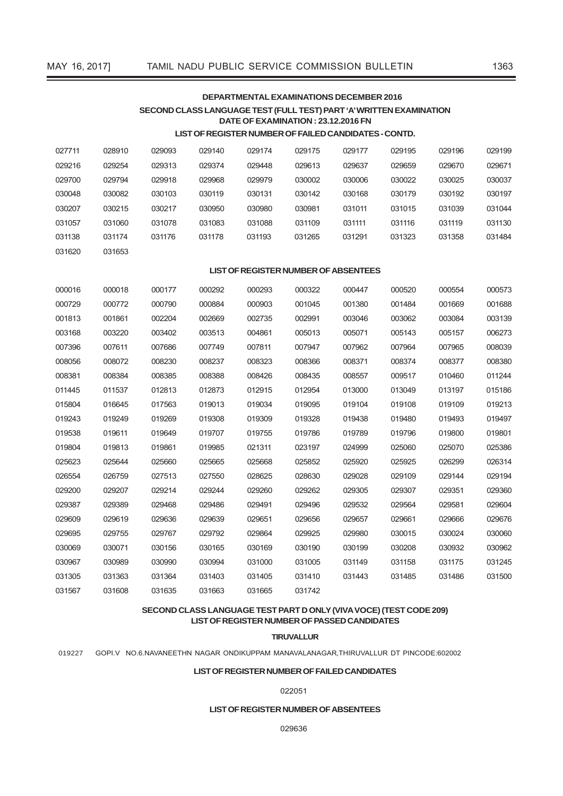031620 031653

# **deParTmeNTal eXamiNaTioNS december 2016 SecoNd claSS laNGuaGe TeST (Full TeST) ParT 'a' WriTTeN eXamiNaTioN daTe oF eXamiNaTioN : 23.12.2016 FN**

# **liST oF reGiSTer Number oF Failed caNdidaTeS - coNTd.**

| 027711 | 028910 | 029093 | 029140 | 029174 | 029175 | 029177 | 029195 | 029196 | 029199 |
|--------|--------|--------|--------|--------|--------|--------|--------|--------|--------|
| 029216 | 029254 | 029313 | 029374 | 029448 | 029613 | 029637 | 029659 | 029670 | 029671 |
| 029700 | 029794 | 029918 | 029968 | 029979 | 030002 | 030006 | 030022 | 030025 | 030037 |
| 030048 | 030082 | 030103 | 030119 | 030131 | 030142 | 030168 | 030179 | 030192 | 030197 |
| 030207 | 030215 | 030217 | 030950 | 030980 | 030981 | 031011 | 031015 | 031039 | 031044 |
| 031057 | 031060 | 031078 | 031083 | 031088 | 031109 | 031111 | 031116 | 031119 | 031130 |
| 031138 | 031174 | 031176 | 031178 | 031193 | 031265 | 031291 | 031323 | 031358 | 031484 |

# **liST oF reGiSTer Number oF abSeNTeeS**

| 000016 | 000018 | 000177 | 000292 | 000293 | 000322 | 000447 | 000520 | 000554 | 000573 |
|--------|--------|--------|--------|--------|--------|--------|--------|--------|--------|
| 000729 | 000772 | 000790 | 000884 | 000903 | 001045 | 001380 | 001484 | 001669 | 001688 |
| 001813 | 001861 | 002204 | 002669 | 002735 | 002991 | 003046 | 003062 | 003084 | 003139 |
| 003168 | 003220 | 003402 | 003513 | 004861 | 005013 | 005071 | 005143 | 005157 | 006273 |
| 007396 | 007611 | 007686 | 007749 | 007811 | 007947 | 007962 | 007964 | 007965 | 008039 |
| 008056 | 008072 | 008230 | 008237 | 008323 | 008366 | 008371 | 008374 | 008377 | 008380 |
| 008381 | 008384 | 008385 | 008388 | 008426 | 008435 | 008557 | 009517 | 010460 | 011244 |
| 011445 | 011537 | 012813 | 012873 | 012915 | 012954 | 013000 | 013049 | 013197 | 015186 |
| 015804 | 016645 | 017563 | 019013 | 019034 | 019095 | 019104 | 019108 | 019109 | 019213 |
| 019243 | 019249 | 019269 | 019308 | 019309 | 019328 | 019438 | 019480 | 019493 | 019497 |
| 019538 | 019611 | 019649 | 019707 | 019755 | 019786 | 019789 | 019796 | 019800 | 019801 |
| 019804 | 019813 | 019861 | 019985 | 021311 | 023197 | 024999 | 025060 | 025070 | 025386 |
| 025623 | 025644 | 025660 | 025665 | 025668 | 025852 | 025920 | 025925 | 026299 | 026314 |
| 026554 | 026759 | 027513 | 027550 | 028625 | 028630 | 029028 | 029109 | 029144 | 029194 |
| 029200 | 029207 | 029214 | 029244 | 029260 | 029262 | 029305 | 029307 | 029351 | 029360 |
| 029387 | 029389 | 029468 | 029486 | 029491 | 029496 | 029532 | 029564 | 029581 | 029604 |
| 029609 | 029619 | 029636 | 029639 | 029651 | 029656 | 029657 | 029661 | 029666 | 029676 |
| 029695 | 029755 | 029767 | 029792 | 029864 | 029925 | 029980 | 030015 | 030024 | 030060 |
| 030069 | 030071 | 030156 | 030165 | 030169 | 030190 | 030199 | 030208 | 030932 | 030962 |
| 030967 | 030989 | 030990 | 030994 | 031000 | 031005 | 031149 | 031158 | 031175 | 031245 |
| 031305 | 031363 | 031364 | 031403 | 031405 | 031410 | 031443 | 031485 | 031486 | 031500 |
| 031567 | 031608 | 031635 | 031663 | 031665 | 031742 |        |        |        |        |

# **SecoNd claSS laNGuaGe TeST ParT d oNlY (viva voce) (TeST code 209) liST oF reGiSTer Number oF PaSSed caNdidaTeS**

### **Tiruvallur**

019227 GOPI.V NO.6.NAVANEETHN NAGAR ONDIKuPPAM MANAVALANAGAR,THIRuVALLuR DT PINCODE:602002

### **liST oF reGiSTer Number oF Failed caNdidaTeS**

### 022051

# **liST oF reGiSTer Number oF abSeNTeeS**

029636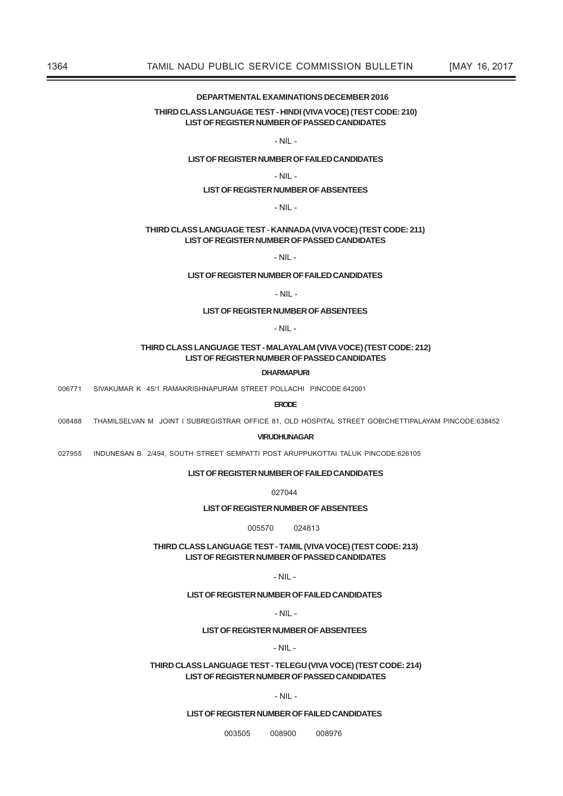# DEPARTMENTAL EXAMINATIONS DECEMBER 2016

# THIRD CLASS LANGUAGE TEST - HINDI (VIVA VOCE) (TEST CODE: 210) **LIST OF REGISTER NUMBER OF PASSED CANDIDATES**

# $-NII -$

# LIST OF REGISTER NUMBER OF FAILED CANDIDATES

### $-$  NII  $-$

### **LIST OF REGISTER NUMBER OF ABSENTEES**

### $-$  NIL  $-$

# THIRD CLASS LANGUAGE TEST - KANNADA (VIVA VOCE) (TEST CODE: 211) LIST OF REGISTER NUMBER OF PASSED CANDIDATES

 $-$  NIL  $-$ 

### LIST OF REGISTER NUMBER OF FAILED CANDIDATES

### $-NII -$

# **LIST OF REGISTER NUMBER OF ABSENTEES**

 $-MII -$ 

# THIRD CLASS LANGUAGE TEST - MALAYALAM (VIVA VOCE) (TEST CODE: 212) LIST OF REGISTER NUMBER OF PASSED CANDIDATES

### **DHARMAPURI**

006771 SIVAKUMAR K 45/1 RAMAKRISHNAPURAM STREET POLLACHI PINCODE:642001

**ERODE** 

008488 THAMILSELVAN M JOINT I SUBREGISTRAR OFFICE 81, OLD HOSPITAL STREET GOBICHETTIPALAYAM PINCODE:638452

#### **VIRLIDHLINAGAR**

027955 INDUNESAN B 2/494, SOUTH STREET SEMPATTI POST ARUPPUKOTTAI TALUK PINCODE:626105

# **LIST OF REGISTER NUMBER OF FAILED CANDIDATES**

027044

### **LIST OF REGISTER NUMBER OF ABSENTEES**

005570 024813

THIRD CLASS LANGUAGE TEST - TAMIL (VIVA VOCE) (TEST CODE: 213) LIST OF REGISTER NUMBER OF PASSED CANDIDATES

 $-MII -$ 

# LIST OF REGISTER NUMBER OF FAILED CANDIDATES

### $-NII -$

# **LIST OF REGISTER NUMBER OF ABSENTEES**

### $-$  NIL  $-$

# THIRD CLASS LANGUAGE TEST - TELEGU (VIVA VOCE) (TEST CODE: 214) LIST OF REGISTER NUMBER OF PASSED CANDIDATES

# $-$  NII  $-$

## LIST OF REGISTER NUMBER OF FAILED CANDIDATES

003505 008900 008976